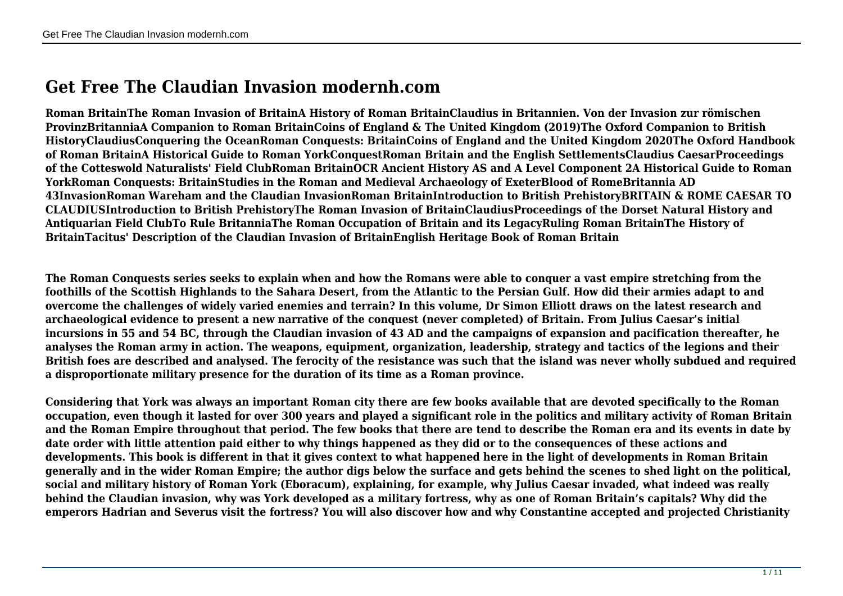## **Get Free The Claudian Invasion modernh.com**

**Roman BritainThe Roman Invasion of BritainA History of Roman BritainClaudius in Britannien. Von der Invasion zur römischen ProvinzBritanniaA Companion to Roman BritainCoins of England & The United Kingdom (2019)The Oxford Companion to British HistoryClaudiusConquering the OceanRoman Conquests: BritainCoins of England and the United Kingdom 2020The Oxford Handbook of Roman BritainA Historical Guide to Roman YorkConquestRoman Britain and the English SettlementsClaudius CaesarProceedings of the Cotteswold Naturalists' Field ClubRoman BritainOCR Ancient History AS and A Level Component 2A Historical Guide to Roman YorkRoman Conquests: BritainStudies in the Roman and Medieval Archaeology of ExeterBlood of RomeBritannia AD 43InvasionRoman Wareham and the Claudian InvasionRoman BritainIntroduction to British PrehistoryBRITAIN & ROME CAESAR TO CLAUDIUSIntroduction to British PrehistoryThe Roman Invasion of BritainClaudiusProceedings of the Dorset Natural History and Antiquarian Field ClubTo Rule BritanniaThe Roman Occupation of Britain and its LegacyRuling Roman BritainThe History of BritainTacitus' Description of the Claudian Invasion of BritainEnglish Heritage Book of Roman Britain**

**The Roman Conquests series seeks to explain when and how the Romans were able to conquer a vast empire stretching from the foothills of the Scottish Highlands to the Sahara Desert, from the Atlantic to the Persian Gulf. How did their armies adapt to and overcome the challenges of widely varied enemies and terrain? In this volume, Dr Simon Elliott draws on the latest research and archaeological evidence to present a new narrative of the conquest (never completed) of Britain. From Julius Caesar's initial incursions in 55 and 54 BC, through the Claudian invasion of 43 AD and the campaigns of expansion and pacification thereafter, he analyses the Roman army in action. The weapons, equipment, organization, leadership, strategy and tactics of the legions and their British foes are described and analysed. The ferocity of the resistance was such that the island was never wholly subdued and required a disproportionate military presence for the duration of its time as a Roman province.**

**Considering that York was always an important Roman city there are few books available that are devoted specifically to the Roman occupation, even though it lasted for over 300 years and played a significant role in the politics and military activity of Roman Britain and the Roman Empire throughout that period. The few books that there are tend to describe the Roman era and its events in date by date order with little attention paid either to why things happened as they did or to the consequences of these actions and developments. This book is different in that it gives context to what happened here in the light of developments in Roman Britain generally and in the wider Roman Empire; the author digs below the surface and gets behind the scenes to shed light on the political, social and military history of Roman York (Eboracum), explaining, for example, why Julius Caesar invaded, what indeed was really behind the Claudian invasion, why was York developed as a military fortress, why as one of Roman Britain's capitals? Why did the emperors Hadrian and Severus visit the fortress? You will also discover how and why Constantine accepted and projected Christianity**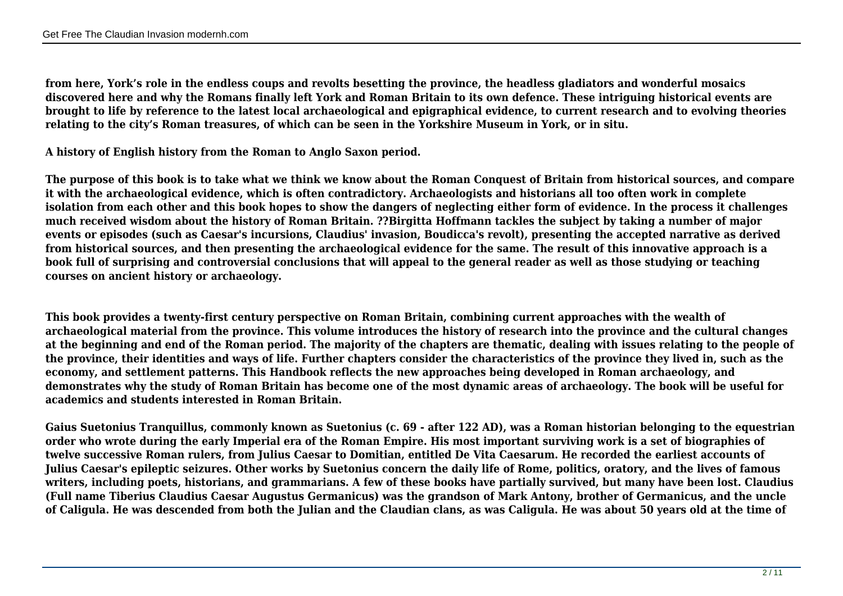**from here, York's role in the endless coups and revolts besetting the province, the headless gladiators and wonderful mosaics discovered here and why the Romans finally left York and Roman Britain to its own defence. These intriguing historical events are brought to life by reference to the latest local archaeological and epigraphical evidence, to current research and to evolving theories relating to the city's Roman treasures, of which can be seen in the Yorkshire Museum in York, or in situ.**

**A history of English history from the Roman to Anglo Saxon period.**

**The purpose of this book is to take what we think we know about the Roman Conquest of Britain from historical sources, and compare it with the archaeological evidence, which is often contradictory. Archaeologists and historians all too often work in complete isolation from each other and this book hopes to show the dangers of neglecting either form of evidence. In the process it challenges much received wisdom about the history of Roman Britain. ??Birgitta Hoffmann tackles the subject by taking a number of major events or episodes (such as Caesar's incursions, Claudius' invasion, Boudicca's revolt), presenting the accepted narrative as derived from historical sources, and then presenting the archaeological evidence for the same. The result of this innovative approach is a book full of surprising and controversial conclusions that will appeal to the general reader as well as those studying or teaching courses on ancient history or archaeology.**

**This book provides a twenty-first century perspective on Roman Britain, combining current approaches with the wealth of archaeological material from the province. This volume introduces the history of research into the province and the cultural changes at the beginning and end of the Roman period. The majority of the chapters are thematic, dealing with issues relating to the people of the province, their identities and ways of life. Further chapters consider the characteristics of the province they lived in, such as the economy, and settlement patterns. This Handbook reflects the new approaches being developed in Roman archaeology, and demonstrates why the study of Roman Britain has become one of the most dynamic areas of archaeology. The book will be useful for academics and students interested in Roman Britain.**

**Gaius Suetonius Tranquillus, commonly known as Suetonius (c. 69 - after 122 AD), was a Roman historian belonging to the equestrian order who wrote during the early Imperial era of the Roman Empire. His most important surviving work is a set of biographies of twelve successive Roman rulers, from Julius Caesar to Domitian, entitled De Vita Caesarum. He recorded the earliest accounts of Julius Caesar's epileptic seizures. Other works by Suetonius concern the daily life of Rome, politics, oratory, and the lives of famous writers, including poets, historians, and grammarians. A few of these books have partially survived, but many have been lost. Claudius (Full name Tiberius Claudius Caesar Augustus Germanicus) was the grandson of Mark Antony, brother of Germanicus, and the uncle of Caligula. He was descended from both the Julian and the Claudian clans, as was Caligula. He was about 50 years old at the time of**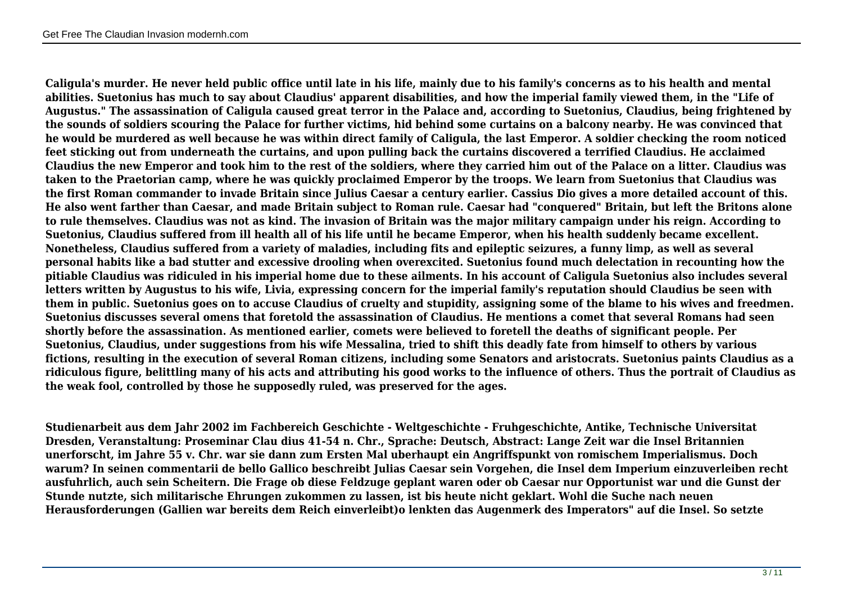**Caligula's murder. He never held public office until late in his life, mainly due to his family's concerns as to his health and mental abilities. Suetonius has much to say about Claudius' apparent disabilities, and how the imperial family viewed them, in the "Life of Augustus." The assassination of Caligula caused great terror in the Palace and, according to Suetonius, Claudius, being frightened by the sounds of soldiers scouring the Palace for further victims, hid behind some curtains on a balcony nearby. He was convinced that he would be murdered as well because he was within direct family of Caligula, the last Emperor. A soldier checking the room noticed feet sticking out from underneath the curtains, and upon pulling back the curtains discovered a terrified Claudius. He acclaimed Claudius the new Emperor and took him to the rest of the soldiers, where they carried him out of the Palace on a litter. Claudius was taken to the Praetorian camp, where he was quickly proclaimed Emperor by the troops. We learn from Suetonius that Claudius was the first Roman commander to invade Britain since Julius Caesar a century earlier. Cassius Dio gives a more detailed account of this. He also went farther than Caesar, and made Britain subject to Roman rule. Caesar had "conquered" Britain, but left the Britons alone to rule themselves. Claudius was not as kind. The invasion of Britain was the major military campaign under his reign. According to Suetonius, Claudius suffered from ill health all of his life until he became Emperor, when his health suddenly became excellent. Nonetheless, Claudius suffered from a variety of maladies, including fits and epileptic seizures, a funny limp, as well as several personal habits like a bad stutter and excessive drooling when overexcited. Suetonius found much delectation in recounting how the pitiable Claudius was ridiculed in his imperial home due to these ailments. In his account of Caligula Suetonius also includes several letters written by Augustus to his wife, Livia, expressing concern for the imperial family's reputation should Claudius be seen with them in public. Suetonius goes on to accuse Claudius of cruelty and stupidity, assigning some of the blame to his wives and freedmen. Suetonius discusses several omens that foretold the assassination of Claudius. He mentions a comet that several Romans had seen shortly before the assassination. As mentioned earlier, comets were believed to foretell the deaths of significant people. Per Suetonius, Claudius, under suggestions from his wife Messalina, tried to shift this deadly fate from himself to others by various fictions, resulting in the execution of several Roman citizens, including some Senators and aristocrats. Suetonius paints Claudius as a ridiculous figure, belittling many of his acts and attributing his good works to the influence of others. Thus the portrait of Claudius as the weak fool, controlled by those he supposedly ruled, was preserved for the ages.**

**Studienarbeit aus dem Jahr 2002 im Fachbereich Geschichte - Weltgeschichte - Fruhgeschichte, Antike, Technische Universitat Dresden, Veranstaltung: Proseminar Clau dius 41-54 n. Chr., Sprache: Deutsch, Abstract: Lange Zeit war die Insel Britannien unerforscht, im Jahre 55 v. Chr. war sie dann zum Ersten Mal uberhaupt ein Angriffspunkt von romischem Imperialismus. Doch warum? In seinen commentarii de bello Gallico beschreibt Julias Caesar sein Vorgehen, die Insel dem Imperium einzuverleiben recht ausfuhrlich, auch sein Scheitern. Die Frage ob diese Feldzuge geplant waren oder ob Caesar nur Opportunist war und die Gunst der Stunde nutzte, sich militarische Ehrungen zukommen zu lassen, ist bis heute nicht geklart. Wohl die Suche nach neuen Herausforderungen (Gallien war bereits dem Reich einverleibt)o lenkten das Augenmerk des Imperators" auf die Insel. So setzte**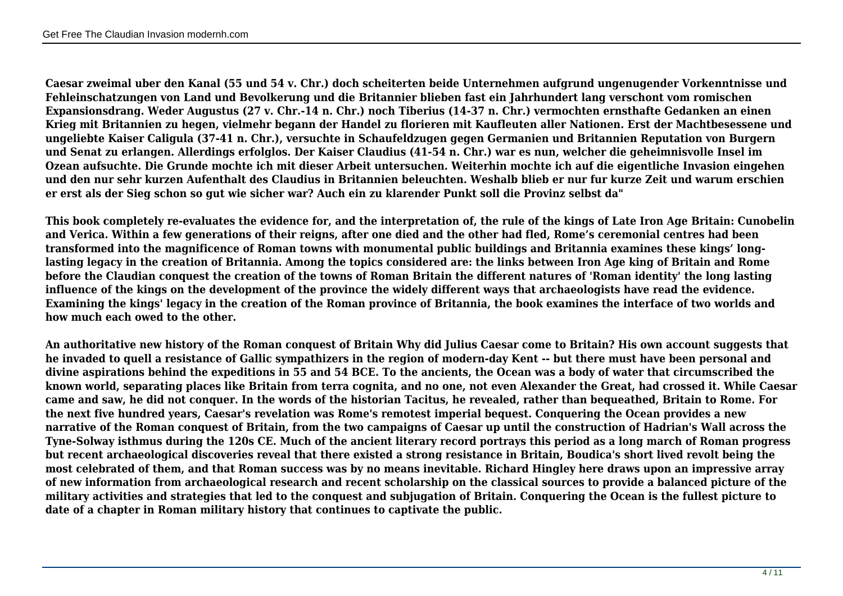**Caesar zweimal uber den Kanal (55 und 54 v. Chr.) doch scheiterten beide Unternehmen aufgrund ungenugender Vorkenntnisse und Fehleinschatzungen von Land und Bevolkerung und die Britannier blieben fast ein Jahrhundert lang verschont vom romischen Expansionsdrang. Weder Augustus (27 v. Chr.-14 n. Chr.) noch Tiberius (14-37 n. Chr.) vermochten ernsthafte Gedanken an einen Krieg mit Britannien zu hegen, vielmehr begann der Handel zu florieren mit Kaufleuten aller Nationen. Erst der Machtbesessene und ungeliebte Kaiser Caligula (37-41 n. Chr.), versuchte in Schaufeldzugen gegen Germanien und Britannien Reputation von Burgern und Senat zu erlangen. Allerdings erfolglos. Der Kaiser Claudius (41-54 n. Chr.) war es nun, welcher die geheimnisvolle Insel im Ozean aufsuchte. Die Grunde mochte ich mit dieser Arbeit untersuchen. Weiterhin mochte ich auf die eigentliche Invasion eingehen und den nur sehr kurzen Aufenthalt des Claudius in Britannien beleuchten. Weshalb blieb er nur fur kurze Zeit und warum erschien er erst als der Sieg schon so gut wie sicher war? Auch ein zu klarender Punkt soll die Provinz selbst da"**

**This book completely re-evaluates the evidence for, and the interpretation of, the rule of the kings of Late Iron Age Britain: Cunobelin and Verica. Within a few generations of their reigns, after one died and the other had fled, Rome's ceremonial centres had been transformed into the magnificence of Roman towns with monumental public buildings and Britannia examines these kings' longlasting legacy in the creation of Britannia. Among the topics considered are: the links between Iron Age king of Britain and Rome before the Claudian conquest the creation of the towns of Roman Britain the different natures of 'Roman identity' the long lasting influence of the kings on the development of the province the widely different ways that archaeologists have read the evidence. Examining the kings' legacy in the creation of the Roman province of Britannia, the book examines the interface of two worlds and how much each owed to the other.**

**An authoritative new history of the Roman conquest of Britain Why did Julius Caesar come to Britain? His own account suggests that he invaded to quell a resistance of Gallic sympathizers in the region of modern-day Kent -- but there must have been personal and divine aspirations behind the expeditions in 55 and 54 BCE. To the ancients, the Ocean was a body of water that circumscribed the known world, separating places like Britain from terra cognita, and no one, not even Alexander the Great, had crossed it. While Caesar came and saw, he did not conquer. In the words of the historian Tacitus, he revealed, rather than bequeathed, Britain to Rome. For the next five hundred years, Caesar's revelation was Rome's remotest imperial bequest. Conquering the Ocean provides a new narrative of the Roman conquest of Britain, from the two campaigns of Caesar up until the construction of Hadrian's Wall across the Tyne-Solway isthmus during the 120s CE. Much of the ancient literary record portrays this period as a long march of Roman progress but recent archaeological discoveries reveal that there existed a strong resistance in Britain, Boudica's short lived revolt being the most celebrated of them, and that Roman success was by no means inevitable. Richard Hingley here draws upon an impressive array of new information from archaeological research and recent scholarship on the classical sources to provide a balanced picture of the military activities and strategies that led to the conquest and subjugation of Britain. Conquering the Ocean is the fullest picture to date of a chapter in Roman military history that continues to captivate the public.**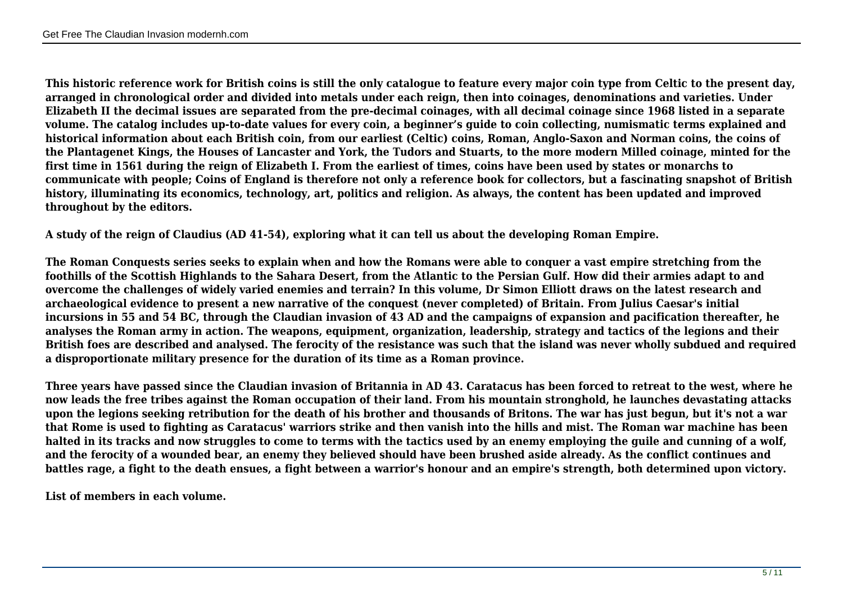**This historic reference work for British coins is still the only catalogue to feature every major coin type from Celtic to the present day, arranged in chronological order and divided into metals under each reign, then into coinages, denominations and varieties. Under Elizabeth II the decimal issues are separated from the pre-decimal coinages, with all decimal coinage since 1968 listed in a separate volume. The catalog includes up-to-date values for every coin, a beginner's guide to coin collecting, numismatic terms explained and historical information about each British coin, from our earliest (Celtic) coins, Roman, Anglo-Saxon and Norman coins, the coins of the Plantagenet Kings, the Houses of Lancaster and York, the Tudors and Stuarts, to the more modern Milled coinage, minted for the first time in 1561 during the reign of Elizabeth I. From the earliest of times, coins have been used by states or monarchs to communicate with people; Coins of England is therefore not only a reference book for collectors, but a fascinating snapshot of British history, illuminating its economics, technology, art, politics and religion. As always, the content has been updated and improved throughout by the editors.**

**A study of the reign of Claudius (AD 41-54), exploring what it can tell us about the developing Roman Empire.**

**The Roman Conquests series seeks to explain when and how the Romans were able to conquer a vast empire stretching from the foothills of the Scottish Highlands to the Sahara Desert, from the Atlantic to the Persian Gulf. How did their armies adapt to and overcome the challenges of widely varied enemies and terrain? In this volume, Dr Simon Elliott draws on the latest research and archaeological evidence to present a new narrative of the conquest (never completed) of Britain. From Julius Caesar's initial incursions in 55 and 54 BC, through the Claudian invasion of 43 AD and the campaigns of expansion and pacification thereafter, he analyses the Roman army in action. The weapons, equipment, organization, leadership, strategy and tactics of the legions and their British foes are described and analysed. The ferocity of the resistance was such that the island was never wholly subdued and required a disproportionate military presence for the duration of its time as a Roman province.**

**Three years have passed since the Claudian invasion of Britannia in AD 43. Caratacus has been forced to retreat to the west, where he now leads the free tribes against the Roman occupation of their land. From his mountain stronghold, he launches devastating attacks upon the legions seeking retribution for the death of his brother and thousands of Britons. The war has just begun, but it's not a war that Rome is used to fighting as Caratacus' warriors strike and then vanish into the hills and mist. The Roman war machine has been halted in its tracks and now struggles to come to terms with the tactics used by an enemy employing the guile and cunning of a wolf, and the ferocity of a wounded bear, an enemy they believed should have been brushed aside already. As the conflict continues and battles rage, a fight to the death ensues, a fight between a warrior's honour and an empire's strength, both determined upon victory.**

**List of members in each volume.**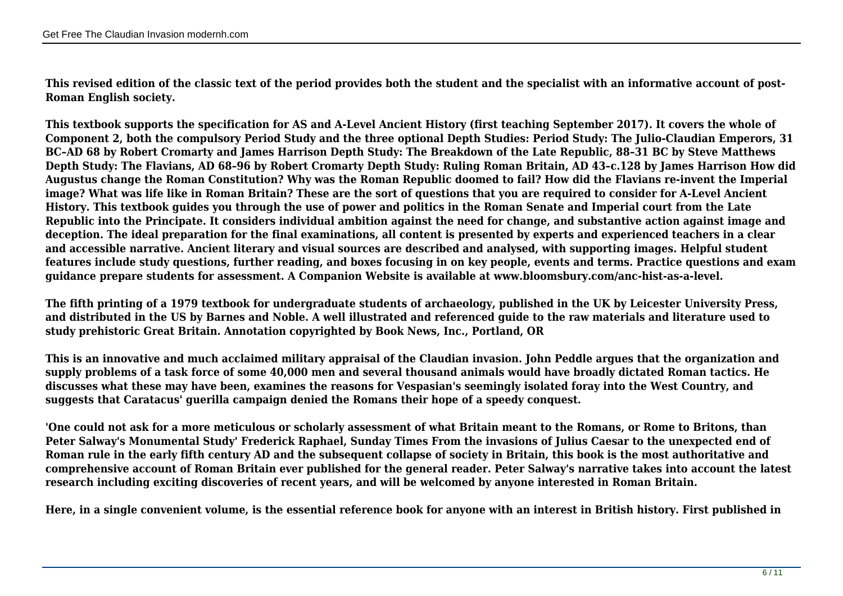**This revised edition of the classic text of the period provides both the student and the specialist with an informative account of post-Roman English society.** 

**This textbook supports the specification for AS and A-Level Ancient History (first teaching September 2017). It covers the whole of Component 2, both the compulsory Period Study and the three optional Depth Studies: Period Study: The Julio-Claudian Emperors, 31 BC–AD 68 by Robert Cromarty and James Harrison Depth Study: The Breakdown of the Late Republic, 88–31 BC by Steve Matthews Depth Study: The Flavians, AD 68–96 by Robert Cromarty Depth Study: Ruling Roman Britain, AD 43–c.128 by James Harrison How did Augustus change the Roman Constitution? Why was the Roman Republic doomed to fail? How did the Flavians re-invent the Imperial image? What was life like in Roman Britain? These are the sort of questions that you are required to consider for A-Level Ancient History. This textbook guides you through the use of power and politics in the Roman Senate and Imperial court from the Late Republic into the Principate. It considers individual ambition against the need for change, and substantive action against image and deception. The ideal preparation for the final examinations, all content is presented by experts and experienced teachers in a clear and accessible narrative. Ancient literary and visual sources are described and analysed, with supporting images. Helpful student features include study questions, further reading, and boxes focusing in on key people, events and terms. Practice questions and exam guidance prepare students for assessment. A Companion Website is available at www.bloomsbury.com/anc-hist-as-a-level.**

**The fifth printing of a 1979 textbook for undergraduate students of archaeology, published in the UK by Leicester University Press, and distributed in the US by Barnes and Noble. A well illustrated and referenced guide to the raw materials and literature used to study prehistoric Great Britain. Annotation copyrighted by Book News, Inc., Portland, OR**

**This is an innovative and much acclaimed military appraisal of the Claudian invasion. John Peddle argues that the organization and supply problems of a task force of some 40,000 men and several thousand animals would have broadly dictated Roman tactics. He discusses what these may have been, examines the reasons for Vespasian's seemingly isolated foray into the West Country, and suggests that Caratacus' guerilla campaign denied the Romans their hope of a speedy conquest.**

**'One could not ask for a more meticulous or scholarly assessment of what Britain meant to the Romans, or Rome to Britons, than Peter Salway's Monumental Study' Frederick Raphael, Sunday Times From the invasions of Julius Caesar to the unexpected end of Roman rule in the early fifth century AD and the subsequent collapse of society in Britain, this book is the most authoritative and comprehensive account of Roman Britain ever published for the general reader. Peter Salway's narrative takes into account the latest research including exciting discoveries of recent years, and will be welcomed by anyone interested in Roman Britain.**

**Here, in a single convenient volume, is the essential reference book for anyone with an interest in British history. First published in**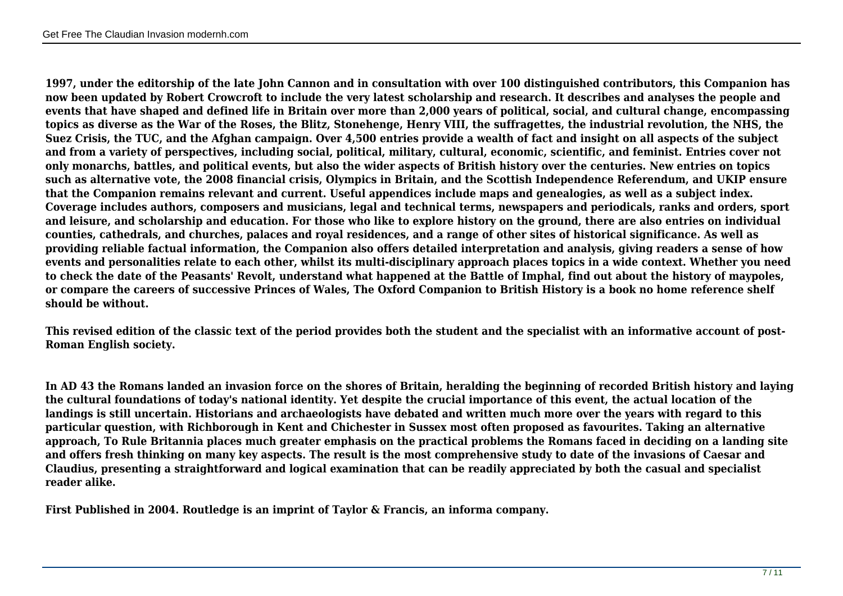**1997, under the editorship of the late John Cannon and in consultation with over 100 distinguished contributors, this Companion has now been updated by Robert Crowcroft to include the very latest scholarship and research. It describes and analyses the people and events that have shaped and defined life in Britain over more than 2,000 years of political, social, and cultural change, encompassing topics as diverse as the War of the Roses, the Blitz, Stonehenge, Henry VIII, the suffragettes, the industrial revolution, the NHS, the Suez Crisis, the TUC, and the Afghan campaign. Over 4,500 entries provide a wealth of fact and insight on all aspects of the subject and from a variety of perspectives, including social, political, military, cultural, economic, scientific, and feminist. Entries cover not only monarchs, battles, and political events, but also the wider aspects of British history over the centuries. New entries on topics such as alternative vote, the 2008 financial crisis, Olympics in Britain, and the Scottish Independence Referendum, and UKIP ensure that the Companion remains relevant and current. Useful appendices include maps and genealogies, as well as a subject index. Coverage includes authors, composers and musicians, legal and technical terms, newspapers and periodicals, ranks and orders, sport and leisure, and scholarship and education. For those who like to explore history on the ground, there are also entries on individual counties, cathedrals, and churches, palaces and royal residences, and a range of other sites of historical significance. As well as providing reliable factual information, the Companion also offers detailed interpretation and analysis, giving readers a sense of how events and personalities relate to each other, whilst its multi-disciplinary approach places topics in a wide context. Whether you need to check the date of the Peasants' Revolt, understand what happened at the Battle of Imphal, find out about the history of maypoles, or compare the careers of successive Princes of Wales, The Oxford Companion to British History is a book no home reference shelf should be without.**

**This revised edition of the classic text of the period provides both the student and the specialist with an informative account of post-Roman English society.**

**In AD 43 the Romans landed an invasion force on the shores of Britain, heralding the beginning of recorded British history and laying the cultural foundations of today's national identity. Yet despite the crucial importance of this event, the actual location of the landings is still uncertain. Historians and archaeologists have debated and written much more over the years with regard to this particular question, with Richborough in Kent and Chichester in Sussex most often proposed as favourites. Taking an alternative approach, To Rule Britannia places much greater emphasis on the practical problems the Romans faced in deciding on a landing site and offers fresh thinking on many key aspects. The result is the most comprehensive study to date of the invasions of Caesar and Claudius, presenting a straightforward and logical examination that can be readily appreciated by both the casual and specialist reader alike.**

**First Published in 2004. Routledge is an imprint of Taylor & Francis, an informa company.**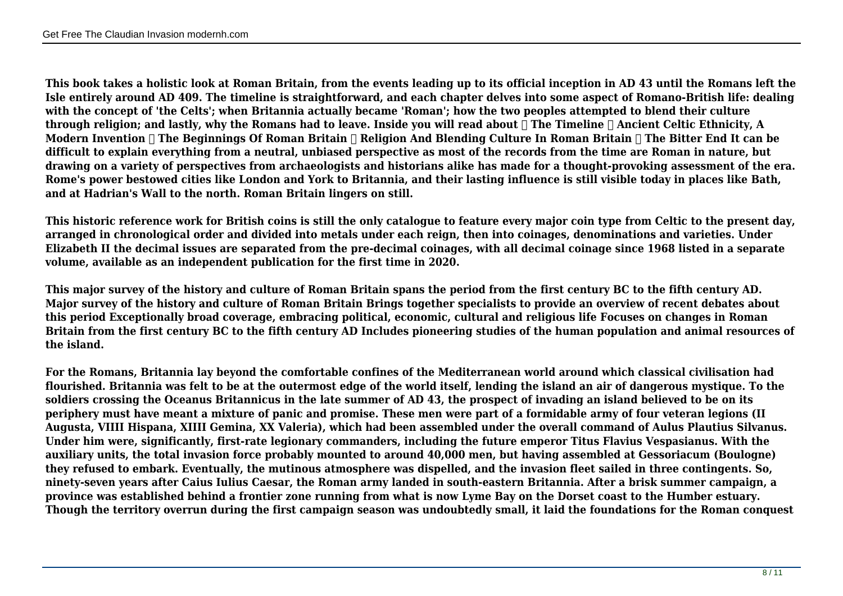**This book takes a holistic look at Roman Britain, from the events leading up to its official inception in AD 43 until the Romans left the Isle entirely around AD 409. The timeline is straightforward, and each chapter delves into some aspect of Romano-British life: dealing with the concept of 'the Celts'; when Britannia actually became 'Roman'; how the two peoples attempted to blend their culture through religion; and lastly, why the Romans had to leave. Inside you will read about ✓ The Timeline ✓ Ancient Celtic Ethnicity, A** Modern Invention **∏** The Beginnings Of Roman Britain ∏ Religion And Blending Culture In Roman Britain ∏ The Bitter End It can be **difficult to explain everything from a neutral, unbiased perspective as most of the records from the time are Roman in nature, but drawing on a variety of perspectives from archaeologists and historians alike has made for a thought-provoking assessment of the era. Rome's power bestowed cities like London and York to Britannia, and their lasting influence is still visible today in places like Bath, and at Hadrian's Wall to the north. Roman Britain lingers on still.**

**This historic reference work for British coins is still the only catalogue to feature every major coin type from Celtic to the present day, arranged in chronological order and divided into metals under each reign, then into coinages, denominations and varieties. Under Elizabeth II the decimal issues are separated from the pre-decimal coinages, with all decimal coinage since 1968 listed in a separate volume, available as an independent publication for the first time in 2020.**

**This major survey of the history and culture of Roman Britain spans the period from the first century BC to the fifth century AD. Major survey of the history and culture of Roman Britain Brings together specialists to provide an overview of recent debates about this period Exceptionally broad coverage, embracing political, economic, cultural and religious life Focuses on changes in Roman Britain from the first century BC to the fifth century AD Includes pioneering studies of the human population and animal resources of the island.**

**For the Romans, Britannia lay beyond the comfortable confines of the Mediterranean world around which classical civilisation had flourished. Britannia was felt to be at the outermost edge of the world itself, lending the island an air of dangerous mystique. To the soldiers crossing the Oceanus Britannicus in the late summer of AD 43, the prospect of invading an island believed to be on its periphery must have meant a mixture of panic and promise. These men were part of a formidable army of four veteran legions (II Augusta, VIIII Hispana, XIIII Gemina, XX Valeria), which had been assembled under the overall command of Aulus Plautius Silvanus. Under him were, significantly, first-rate legionary commanders, including the future emperor Titus Flavius Vespasianus. With the auxiliary units, the total invasion force probably mounted to around 40,000 men, but having assembled at Gessoriacum (Boulogne) they refused to embark. Eventually, the mutinous atmosphere was dispelled, and the invasion fleet sailed in three contingents. So, ninety-seven years after Caius Iulius Caesar, the Roman army landed in south-eastern Britannia. After a brisk summer campaign, a province was established behind a frontier zone running from what is now Lyme Bay on the Dorset coast to the Humber estuary. Though the territory overrun during the first campaign season was undoubtedly small, it laid the foundations for the Roman conquest**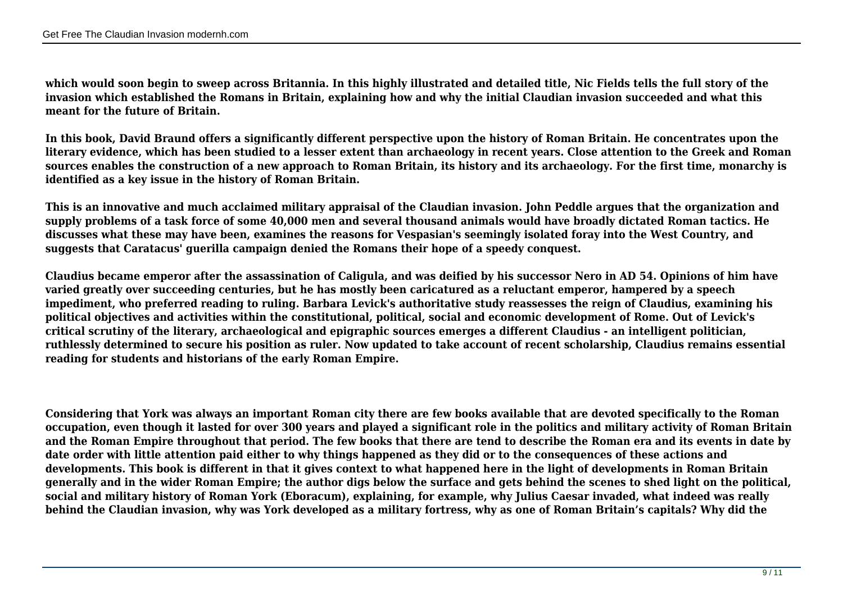**which would soon begin to sweep across Britannia. In this highly illustrated and detailed title, Nic Fields tells the full story of the invasion which established the Romans in Britain, explaining how and why the initial Claudian invasion succeeded and what this meant for the future of Britain.**

**In this book, David Braund offers a significantly different perspective upon the history of Roman Britain. He concentrates upon the literary evidence, which has been studied to a lesser extent than archaeology in recent years. Close attention to the Greek and Roman sources enables the construction of a new approach to Roman Britain, its history and its archaeology. For the first time, monarchy is identified as a key issue in the history of Roman Britain.**

**This is an innovative and much acclaimed military appraisal of the Claudian invasion. John Peddle argues that the organization and supply problems of a task force of some 40,000 men and several thousand animals would have broadly dictated Roman tactics. He discusses what these may have been, examines the reasons for Vespasian's seemingly isolated foray into the West Country, and suggests that Caratacus' guerilla campaign denied the Romans their hope of a speedy conquest.**

**Claudius became emperor after the assassination of Caligula, and was deified by his successor Nero in AD 54. Opinions of him have varied greatly over succeeding centuries, but he has mostly been caricatured as a reluctant emperor, hampered by a speech impediment, who preferred reading to ruling. Barbara Levick's authoritative study reassesses the reign of Claudius, examining his political objectives and activities within the constitutional, political, social and economic development of Rome. Out of Levick's critical scrutiny of the literary, archaeological and epigraphic sources emerges a different Claudius - an intelligent politician, ruthlessly determined to secure his position as ruler. Now updated to take account of recent scholarship, Claudius remains essential reading for students and historians of the early Roman Empire.**

**Considering that York was always an important Roman city there are few books available that are devoted specifically to the Roman occupation, even though it lasted for over 300 years and played a significant role in the politics and military activity of Roman Britain and the Roman Empire throughout that period. The few books that there are tend to describe the Roman era and its events in date by date order with little attention paid either to why things happened as they did or to the consequences of these actions and developments. This book is different in that it gives context to what happened here in the light of developments in Roman Britain generally and in the wider Roman Empire; the author digs below the surface and gets behind the scenes to shed light on the political, social and military history of Roman York (Eboracum), explaining, for example, why Julius Caesar invaded, what indeed was really behind the Claudian invasion, why was York developed as a military fortress, why as one of Roman Britain's capitals? Why did the**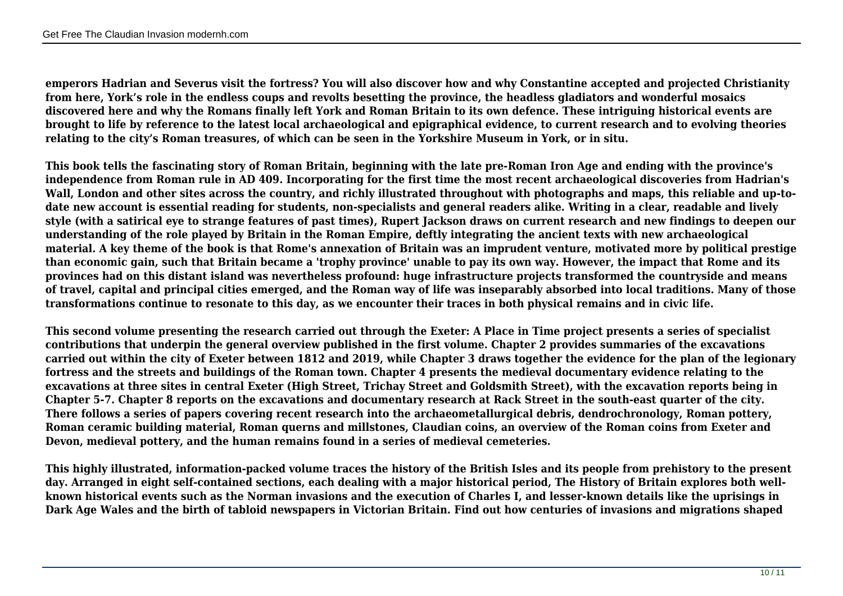**emperors Hadrian and Severus visit the fortress? You will also discover how and why Constantine accepted and projected Christianity from here, York's role in the endless coups and revolts besetting the province, the headless gladiators and wonderful mosaics discovered here and why the Romans finally left York and Roman Britain to its own defence. These intriguing historical events are brought to life by reference to the latest local archaeological and epigraphical evidence, to current research and to evolving theories relating to the city's Roman treasures, of which can be seen in the Yorkshire Museum in York, or in situ.**

**This book tells the fascinating story of Roman Britain, beginning with the late pre-Roman Iron Age and ending with the province's independence from Roman rule in AD 409. Incorporating for the first time the most recent archaeological discoveries from Hadrian's Wall, London and other sites across the country, and richly illustrated throughout with photographs and maps, this reliable and up-todate new account is essential reading for students, non-specialists and general readers alike. Writing in a clear, readable and lively style (with a satirical eye to strange features of past times), Rupert Jackson draws on current research and new findings to deepen our understanding of the role played by Britain in the Roman Empire, deftly integrating the ancient texts with new archaeological material. A key theme of the book is that Rome's annexation of Britain was an imprudent venture, motivated more by political prestige than economic gain, such that Britain became a 'trophy province' unable to pay its own way. However, the impact that Rome and its provinces had on this distant island was nevertheless profound: huge infrastructure projects transformed the countryside and means of travel, capital and principal cities emerged, and the Roman way of life was inseparably absorbed into local traditions. Many of those transformations continue to resonate to this day, as we encounter their traces in both physical remains and in civic life.**

**This second volume presenting the research carried out through the Exeter: A Place in Time project presents a series of specialist contributions that underpin the general overview published in the first volume. Chapter 2 provides summaries of the excavations carried out within the city of Exeter between 1812 and 2019, while Chapter 3 draws together the evidence for the plan of the legionary fortress and the streets and buildings of the Roman town. Chapter 4 presents the medieval documentary evidence relating to the excavations at three sites in central Exeter (High Street, Trichay Street and Goldsmith Street), with the excavation reports being in Chapter 5-7. Chapter 8 reports on the excavations and documentary research at Rack Street in the south-east quarter of the city. There follows a series of papers covering recent research into the archaeometallurgical debris, dendrochronology, Roman pottery, Roman ceramic building material, Roman querns and millstones, Claudian coins, an overview of the Roman coins from Exeter and Devon, medieval pottery, and the human remains found in a series of medieval cemeteries.**

**This highly illustrated, information-packed volume traces the history of the British Isles and its people from prehistory to the present day. Arranged in eight self-contained sections, each dealing with a major historical period, The History of Britain explores both wellknown historical events such as the Norman invasions and the execution of Charles I, and lesser-known details like the uprisings in Dark Age Wales and the birth of tabloid newspapers in Victorian Britain. Find out how centuries of invasions and migrations shaped**